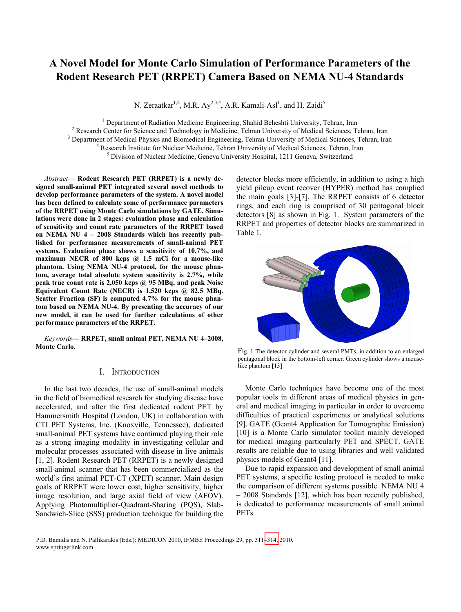# **A Novel Model for Monte Carlo Simulation of Performance Parameters of the Rodent Research PET (RRPET) Camera Based on NEMA NU-4 Standards**

N. Zeraatkar<sup>1,2</sup>, M.R. Ay<sup>2,3,4</sup>, A.R. Kamali-Asl<sup>1</sup>, and H. Zaidi<sup>5</sup>

<sup>1</sup> Department of Radiation Medicine Engineering, Shahid Beheshti University, Tehran, Iran <sup>2</sup> Besearch Center for Science and Technology in Medicine, Tehran University of Medical Sciences. To

<sup>2</sup> Research Center for Science and Technology in Medicine, Tehran University of Medical Sciences, Tehran, Iran

<sup>3</sup> Department of Medical Physics and Biomedical Engineering, Tehran University of Medical Sciences, Tehran, Iran

<sup>4</sup> Research Institute for Nuclear Medicine, Tehran University of Medical Sciences, Tehran, Iran

<sup>5</sup> Division of Nuclear Medicine, Geneva University Hospital, 1211 Geneva, Switzerland

*Abstract*— **Rodent Research PET (RRPET) is a newly designed small-animal PET integrated several novel methods to develop performance parameters of the system. A novel model has been defined to calculate some of performance parameters of the RRPET using Monte Carlo simulations by GATE. Simulations were done in 2 stages: evaluation phase and calculation of sensitivity and count rate parameters of the RRPET based on NEMA NU 4 – 2008 Standards which has recently published for performance measurements of small-animal PET systems. Evaluation phase shows a sensitivity of 10.7%, and maximum NECR of 800 kcps @ 1.5 mCi for a mouse-like phantom. Using NEMA NU-4 protocol, for the mouse phantom, average total absolute system sensitivity is 2.7%, while peak true count rate is 2,050 kcps @ 95 MBq, and peak Noise Equivalent Count Rate (NECR) is 1,520 kcps @ 82.5 MBq. Scatter Fraction (SF) is computed 4.7% for the mouse phantom based on NEMA NU-4. By presenting the accuracy of our new model, it can be used for further calculations of other performance parameters of the RRPET.** 

*Keywords***— RRPET, small animal PET, NEMA NU 4–2008, Monte Carlo.** 

## I. INTRODUCTION

In the last two decades, the use of small-animal models in the field of biomedical research for studying disease have accelerated, and after the first dedicated rodent PET by Hammersmith Hospital (London, UK) in collaboration with CTI PET Systems, Inc. (Knoxville, Tennessee), dedicated small-animal PET systems have continued playing their role as a strong imaging modality in investigating cellular and molecular processes associated with disease in live animals [1, 2]. Rodent Research PET (RRPET) is a newly designed small-animal scanner that has been commercialized as the world's first animal PET-CT (XPET) scanner. Main design goals of RRPET were lower cost, higher sensitivity, higher image resolution, and large axial field of view (AFOV). Applying Photomultiplier-Quadrant-Sharing (PQS), Slab-Sandwich-Slice (SSS) production technique for building the

detector blocks more efficiently, in addition to using a high yield pileup event recover (HYPER) method has complied the main goals [3]-[7]. The RRPET consists of 6 detector rings, and each ring is comprised of 30 pentagonal block detectors [8] as shown in Fig. 1. System parameters of the RRPET and properties of detector blocks are summarized in Table 1.



Fig. 1 The detector cylinder and several PMTs, in addition to an enlarged pentagonal block in the bottom-left corner. Green cylinder shows a mouselike phantom [13]

Monte Carlo techniques have become one of the most popular tools in different areas of medical physics in general and medical imaging in particular in order to overcome difficulties of practical experiments or analytical solutions [9]. GATE (Geant4 Application for Tomographic Emission) [10] is a Monte Carlo simulator toolkit mainly developed for medical imaging particularly PET and SPECT. GATE results are reliable due to using libraries and well validated physics models of Geant4 [11].

Due to rapid expansion and development of small animal PET systems, a specific testing protocol is needed to make the comparison of different systems possible. NEMA NU 4 – 2008 Standards [12], which has been recently published, is dedicated to performance measurements of small animal PETs.

P.D. Bamidis and N. Pallikarakis (Eds.): MEDICON 2010, IFMBE Proceedings 29, pp. 311[–314,](#page-3-0) 2010. www.springerlink.com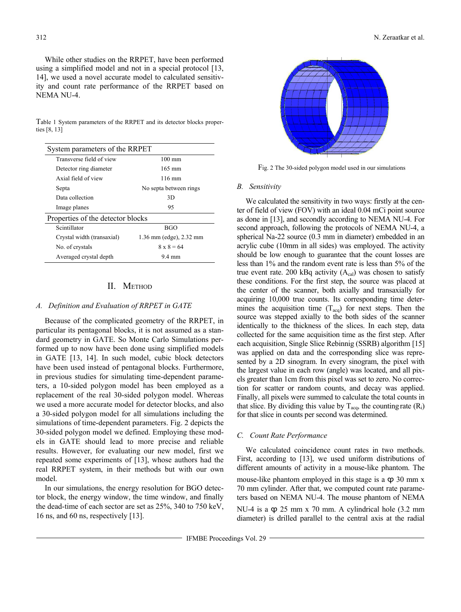While other studies on the RRPET, have been performed using a simplified model and not in a special protocol [13, 14], we used a novel accurate model to calculated sensitivity and count rate performance of the RRPET based on NEMA NU-4.

Table 1 System parameters of the RRPET and its detector blocks properties [8, 13]

| System parameters of the RRPET    |                         |  |
|-----------------------------------|-------------------------|--|
| Transverse field of view          | $100 \text{ mm}$        |  |
| Detector ring diameter            | $165 \text{ mm}$        |  |
| Axial field of view               | 116 mm                  |  |
| Septa                             | No septa between rings  |  |
| Data collection                   | 3D                      |  |
| Image planes                      | 95                      |  |
| Properties of the detector blocks |                         |  |
| Scintillator                      | <b>BGO</b>              |  |
| Crystal width (transaxial)        | 1.36 mm (edge), 2.32 mm |  |
| No. of crystals                   | $8 \times 8 = 64$       |  |
| Averaged crystal depth            | 9.4 mm                  |  |

# II. METHOD

### *A. Definition and Evaluation of RRPET in GATE*

Because of the complicated geometry of the RRPET, in particular its pentagonal blocks, it is not assumed as a standard geometry in GATE. So Monte Carlo Simulations performed up to now have been done using simplified models in GATE [13, 14]. In such model, cubic block detectors have been used instead of pentagonal blocks. Furthermore, in previous studies for simulating time-dependent parameters, a 10-sided polygon model has been employed as a replacement of the real 30-sided polygon model. Whereas we used a more accurate model for detector blocks, and also a 30-sided polygon model for all simulations including the simulations of time-dependent parameters. Fig. 2 depicts the 30-sided polygon model we defined. Employing these models in GATE should lead to more precise and reliable results. However, for evaluating our new model, first we repeated some experiments of [13], whose authors had the real RRPET system, in their methods but with our own model.

In our simulations, the energy resolution for BGO detector block, the energy window, the time window, and finally the dead-time of each sector are set as 25%, 340 to 750 keV, 16 ns, and 60 ns, respectively [13].



Fig. 2 The 30-sided polygon model used in our simulations

#### *B. Sensitivity*

We calculated the sensitivity in two ways: firstly at the center of field of view (FOV) with an ideal 0.04 mCi point source as done in [13], and secondly according to NEMA NU-4. For second approach, following the protocols of NEMA NU-4, a spherical Na-22 source (0.3 mm in diameter) embedded in an acrylic cube (10mm in all sides) was employed. The activity should be low enough to guarantee that the count losses are less than 1% and the random event rate is less than 5% of the true event rate. 200 kBq activity  $(A<sub>cal</sub>)$  was chosen to satisfy these conditions. For the first step, the source was placed at the center of the scanner, both axially and transaxially for acquiring 10,000 true counts. Its corresponding time determines the acquisition time  $(T_{acq})$  for next steps. Then the source was stepped axially to the both sides of the scanner identically to the thickness of the slices. In each step, data collected for the same acquisition time as the first step. After each acquisition, Single Slice Rebinnig (SSRB) algorithm [15] was applied on data and the corresponding slice was represented by a 2D sinogram. In every sinogram, the pixel with the largest value in each row (angle) was located, and all pixels greater than 1cm from this pixel was set to zero. No correction for scatter or random counts, and decay was applied. Finally, all pixels were summed to calculate the total counts in that slice. By dividing this value by  $T_{acq}$ , the counting rate  $(R_i)$ for that slice in counts per second was determined.

## *C. Count Rate Performance*

We calculated coincidence count rates in two methods. First, according to [13], we used uniform distributions of different amounts of activity in a mouse-like phantom. The mouse-like phantom employed in this stage is a  $\varphi$  30 mm x 70 mm cylinder. After that, we computed count rate parameters based on NEMA NU-4. The mouse phantom of NEMA NU-4 is a  $\varphi$  25 mm x 70 mm. A cylindrical hole (3.2 mm diameter) is drilled parallel to the central axis at the radial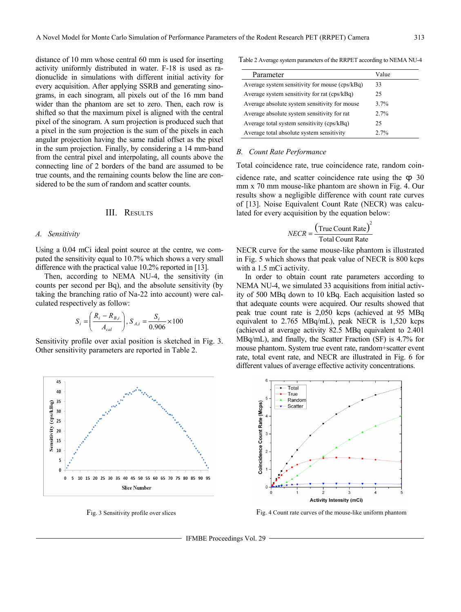distance of 10 mm whose central 60 mm is used for inserting activity uniformly distributed in water. F-18 is used as radionuclide in simulations with different initial activity for every acquisition. After applying SSRB and generating sinograms, in each sinogram, all pixels out of the 16 mm band wider than the phantom are set to zero. Then, each row is shifted so that the maximum pixel is aligned with the central pixel of the sinogram. A sum projection is produced such that a pixel in the sum projection is the sum of the pixels in each angular projection having the same radial offset as the pixel in the sum projection. Finally, by considering a 14 mm-band from the central pixel and interpolating, all counts above the connecting line of 2 borders of the band are assumed to be true counts, and the remaining counts below the line are considered to be the sum of random and scatter counts.

## III. RESULTS

#### *A. Sensitivity*

Using a 0.04 mCi ideal point source at the centre, we computed the sensitivity equal to 10.7% which shows a very small difference with the practical value 10.2% reported in [13].

Then, according to NEMA NU-4, the sensitivity (in counts per second per Bq), and the absolute sensitivity (by taking the branching ratio of Na-22 into account) were calculated respectively as follow:

$$
S_i = \left(\frac{R_i - R_{B,i}}{A_{cal}}\right), S_{A,i} = \frac{S_i}{0.906} \times 100
$$

Sensitivity profile over axial position is sketched in Fig. 3. Other sensitivity parameters are reported in Table 2.



Table 2 Average system parameters of the RRPET according to NEMA NU-4

| Parameter                                      | Value   |
|------------------------------------------------|---------|
| Average system sensitivity for mouse (cps/kBq) | 33      |
| Average system sensitivity for rat (cps/kBq)   | 25      |
| Average absolute system sensitivity for mouse  | $3.7\%$ |
| Average absolute system sensitivity for rat    | 2.7%    |
| Average total system sensitivity (cps/kBq)     | 25      |
| Average total absolute system sensitivity      | $2.7\%$ |

#### *B. Count Rate Performance*

Total coincidence rate, true coincidence rate, random coincidence rate, and scatter coincidence rate using the  $\varphi$  30 mm x 70 mm mouse-like phantom are shown in Fig. 4. Our results show a negligible difference with count rate curves of [13]. Noise Equivalent Count Rate (NECR) was calculated for every acquisition by the equation below:

$$
NECR = \frac{(\text{True Count Rate})^2}{\text{Total Count Rate}}
$$

NECR curve for the same mouse-like phantom is illustrated in Fig. 5 which shows that peak value of NECR is 800 kcps with a 1.5 mCi activity.

In order to obtain count rate parameters according to NEMA NU-4, we simulated 33 acquisitions from initial activity of 500 MBq down to 10 kBq. Each acquisition lasted so that adequate counts were acquired. Our results showed that peak true count rate is 2,050 kcps (achieved at 95 MBq equivalent to 2.765 MBq/mL), peak NECR is 1,520 kcps (achieved at average activity 82.5 MBq equivalent to 2.401 MBq/mL), and finally, the Scatter Fraction (SF) is 4.7% for mouse phantom. System true event rate, random+scatter event rate, total event rate, and NECR are illustrated in Fig. 6 for different values of average effective activity concentrations.



Fig. 3 Sensitivity profile over slices Fig. 4 Count rate curves of the mouse-like uniform phantom